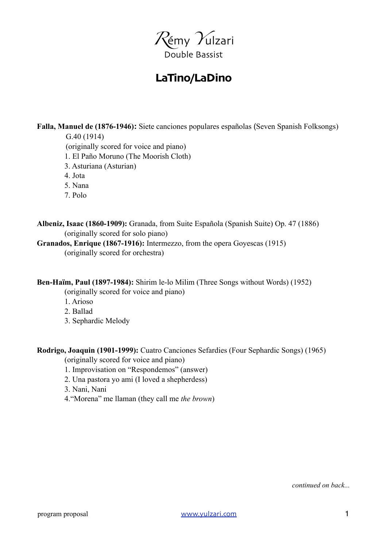

## **LaTino/LaDino**

**Falla, Manuel de (1876-1946):** Siete canciones populares españolas (Seven Spanish Folksongs)

 G.40 (1914) (originally scored for voice and piano)

1. El Paño Moruno (The Moorish Cloth)

- 3. Asturiana (Asturian)
- 4. Jota
- 5. Nana
- 7. Polo

**Albeniz, Isaac (1860-1909):** Granada, from Suite Española (Spanish Suite) Op. 47 (1886) (originally scored for solo piano)

**Granados, Enrique (1867-1916):** Intermezzo, from the opera Goyescas (1915) (originally scored for orchestra)

**Ben-Haïm, Paul (1897-1984):** Shirim le-lo Milim (Three Songs without Words) (1952)

(originally scored for voice and piano)

- 1. Arioso
- 2. Ballad
- 3. Sephardic Melody

**Rodrigo, Joaquin (1901-1999):** Cuatro Canciones Sefardies (Four Sephardic Songs) (1965)

(originally scored for voice and piano)

- 1. Improvisation on "Respondemos" (answer)
- 2. Una pastora yo ami (I loved a shepherdess)
- 3. Nani, Nani
- 4."Morena" me llaman (they call me *the brown*)

*continued on back...*